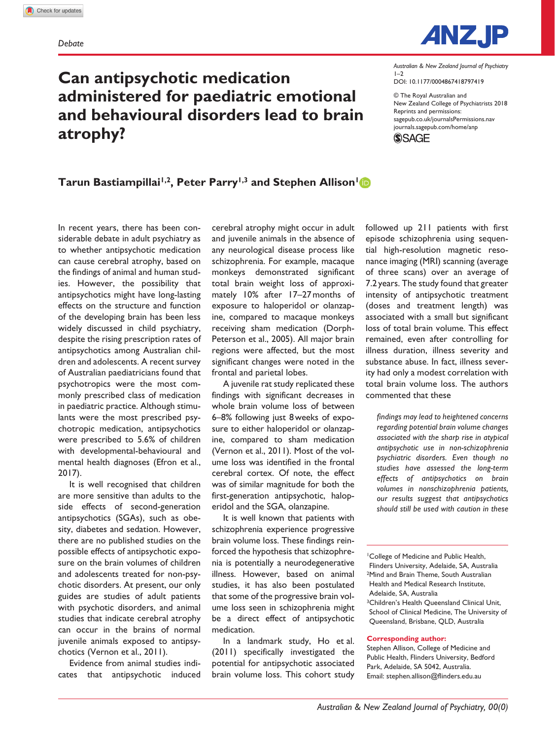**atrophy?**



DOI: 10.1177/0004867418797419 *Australian & New Zealand Journal of Psychiatry*  $1-2$ 

© The Royal Australian and New Zealand College of Psychiatrists 2018 Reprints and permissions: [sagepub.co.uk/journalsPermissions.nav](https://uk.sagepub.com/en-gb/journals-permissions) [journals.sagepub.com/home/anp](https://journals.sagepub.com/home/anp) **SSAGE** 

**Tarun Bastiampillai<sup>1,2</sup>, Peter Parry<sup>1,3</sup> and Stephen Allison<sup>1</sup><sup>1</sup>** 

**administered for paediatric emotional and behavioural disorders lead to brain** 

**Can antipsychotic medication** 

In recent years, there has been considerable debate in adult psychiatry as to whether antipsychotic medication can cause cerebral atrophy, based on the findings of animal and human studies. However, the possibility that antipsychotics might have long-lasting effects on the structure and function of the developing brain has been less widely discussed in child psychiatry, despite the rising prescription rates of antipsychotics among Australian children and adolescents. A recent survey of Australian paediatricians found that psychotropics were the most commonly prescribed class of medication in paediatric practice. Although stimulants were the most prescribed psychotropic medication, antipsychotics were prescribed to 5.6% of children with developmental-behavioural and mental health diagnoses (Efron et al., 2017).

It is well recognised that children are more sensitive than adults to the side effects of second-generation antipsychotics (SGAs), such as obesity, diabetes and sedation. However, there are no published studies on the possible effects of antipsychotic exposure on the brain volumes of children and adolescents treated for non-psychotic disorders. At present, our only guides are studies of adult patients with psychotic disorders, and animal studies that indicate cerebral atrophy can occur in the brains of normal juvenile animals exposed to antipsychotics (Vernon et al., 2011).

Evidence from animal studies indicates that antipsychotic induced

cerebral atrophy might occur in adult and juvenile animals in the absence of any neurological disease process like schizophrenia. For example, macaque monkeys demonstrated significant total brain weight loss of approximately 10% after 17–27months of exposure to haloperidol or olanzapine, compared to macaque monkeys receiving sham medication (Dorph-Peterson et al., 2005). All major brain regions were affected, but the most significant changes were noted in the frontal and parietal lobes.

A juvenile rat study replicated these findings with significant decreases in whole brain volume loss of between 6–8% following just 8weeks of exposure to either haloperidol or olanzapine, compared to sham medication (Vernon et al., 2011). Most of the volume loss was identified in the frontal cerebral cortex. Of note, the effect was of similar magnitude for both the first-generation antipsychotic, haloperidol and the SGA, olanzapine.

It is well known that patients with schizophrenia experience progressive brain volume loss. These findings reinforced the hypothesis that schizophrenia is potentially a neurodegenerative illness. However, based on animal studies, it has also been postulated that some of the progressive brain volume loss seen in schizophrenia might be a direct effect of antipsychotic medication.

In a landmark study, Ho et al. (2011) specifically investigated the potential for antipsychotic associated brain volume loss. This cohort study followed up 211 patients with first episode schizophrenia using sequential high-resolution magnetic resonance imaging (MRI) scanning (average of three scans) over an average of 7.2 years. The study found that greater intensity of antipsychotic treatment (doses and treatment length) was associated with a small but significant loss of total brain volume. This effect remained, even after controlling for illness duration, illness severity and substance abuse. In fact, illness severity had only a modest correlation with total brain volume loss. The authors commented that these

*findings may lead to heightened concerns regarding potential brain volume changes associated with the sharp rise in atypical antipsychotic use in non-schizophrenia psychiatric disorders. Even though no studies have assessed the long-term effects of antipsychotics on brain volumes in nonschizophrenia patients, our results suggest that antipsychotics should still be used with caution in these* 

1College of Medicine and Public Health, Flinders University, Adelaide, SA, Australia 2Mind and Brain Theme, South Australian Health and Medical Research Institute, Adelaide, SA, Australia 3Children's Health Queensland Clinical Unit, School of Clinical Medicine, The University of Queensland, Brisbane, QLD, Australia

#### **Corresponding author:**

Stephen Allison, College of Medicine and Public Health, Flinders University, Bedford Park, Adelaide, SA 5042, Australia. Email: stephen.allison@flinders.edu.au